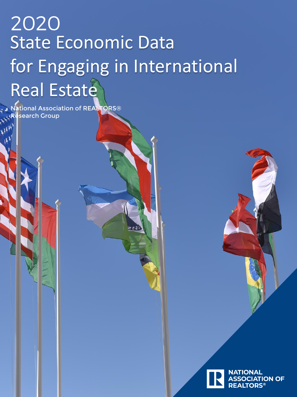# 2020 State Economic Data for Engaging in International Real Estate

National Association of REALTORS® Research Group

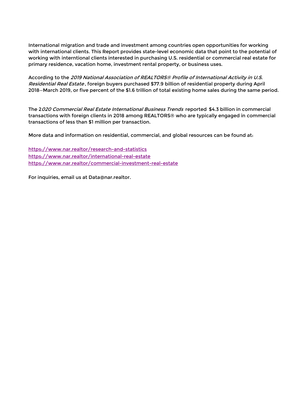International migration and trade and investment among countries open opportunities for working with international clients. This Report provides state-level economic data that point to the potential of working with interntional clients interested in purchasing U.S. residential or commercial real estate for primary residence, vacation home, investment rental property, or business uses.

According to the 2019 National Association of REALTORS® Profile of International Activity in U.S. Residential Real Estate, foreign buyers purchased \$77.9 billion of residential property during April 2018—March 2019, or five percent of the \$1.6 trillion of total existing home sales during the same period.

The 2020 Commercial Real Estate International Business Trends reported \$4.3 billion in commercial transactions with foreign clients in 2018 among REALTORS® who are typically engaged in commercial transactions of less than \$1 million per transaction.

More data and information on residential, commercial, and global resources can be found at:

<https://www.nar.realtor/research-and-statistics> <https://www.nar.realtor/international-real-estate> <https://www.nar.realtor/commercial-investment-real-estate>

For inquiries, email us at Data@nar.realtor.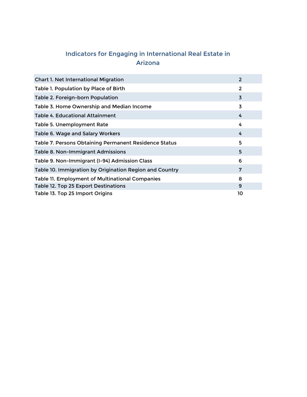## **Indicators for Engaging in International Real Estate in Arizona**

| <b>Chart 1. Net International Migration</b>             | $\overline{2}$ |
|---------------------------------------------------------|----------------|
| Table 1. Population by Place of Birth                   | 2              |
| Table 2. Foreign-born Population                        | $\overline{3}$ |
| Table 3. Home Ownership and Median Income               | 3              |
| <b>Table 4. Educational Attainment</b>                  | 4              |
| Table 5. Unemployment Rate                              | 4              |
| Table 6. Wage and Salary Workers                        | 4              |
| Table 7. Persons Obtaining Permanent Residence Status   | 5              |
| Table 8. Non-Immigrant Admissions                       | 5              |
| Table 9. Non-Immigrant (I-94) Admission Class           | 6              |
| Table 10. Immigration by Origination Region and Country | 7              |
| Table 11. Employment of Multinational Companies         | 8              |
| Table 12. Top 25 Export Destinations                    | 9              |
| Table 13. Top 25 Import Origins                         | 10             |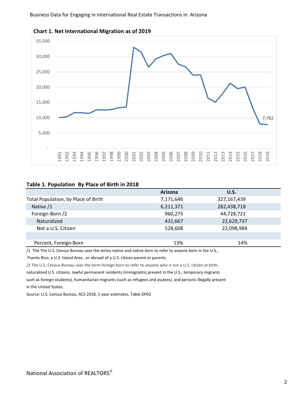





#### **Table 1. Population By Place of Birth in 2018**

|                                     | Arizona   | U.S.        |  |
|-------------------------------------|-----------|-------------|--|
| Total Population, by Place of Birth | 7,171,646 | 327,167,439 |  |
| Native /1                           | 6,211,371 | 282,438,718 |  |
| Foreign-Born /2                     | 960,275   | 44,728,721  |  |
| Naturalized                         | 431,667   | 22,629,737  |  |
| Not a U.S. Citizen                  | 528,608   | 22,098,984  |  |
|                                     |           |             |  |
| Percent, Foreign-Born               | 13%       | 14%         |  |

/1 The The U.S. Census Bureau uses the terms native and native born to refer to anyone born in the U.S.,

Puerto Rico, a U.S. Island Area , or abroad of a U.S. citizen parent or parents.

/2 The U.S. Census Bureau uses the term foreign born to refer to anyone who is not a U.S. citizen at birth,

naturalized U.S. citizens, lawful permanent residents (immigrants) present in the U.S., temporary migrants

such as foreign students), humanitarian migrants (such as refugees and asylees), and persons illegally present in the United States.

Source: U.S. Census Bureau, ACS 2018, 1-year estimates, Table DP02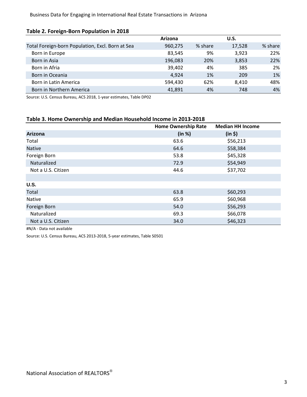| Table 2. Torcign Dorm't opdiation in 2010        |         |         |             |         |
|--------------------------------------------------|---------|---------|-------------|---------|
|                                                  | Arizona |         | <b>U.S.</b> |         |
| Total Foreign-born Population, Excl. Born at Sea | 960,275 | % share | 17,528      | % share |
| Born in Europe                                   | 83,545  | 9%      | 3,923       | 22%     |
| Born in Asia                                     | 196,083 | 20%     | 3,853       | 22%     |
| Born in Afria                                    | 39,402  | 4%      | 385         | 2%      |
| Born in Oceania                                  | 4,924   | 1%      | 209         | 1%      |
| Born in Latin America                            | 594,430 | 62%     | 8,410       | 48%     |
| Born in Northern America                         | 41,891  | 4%      | 748         | 4%      |

**Table 2. Foreign-Born Population in 2018** 

Source: U.S. Census Bureau, ACS 2018, 1-year estimates, Table DP02

#### **Table 3. Home Ownership and Median Household Income in 2013-2018**

|                    | <b>Home Ownership Rate</b> | <b>Median HH Income</b> |
|--------------------|----------------------------|-------------------------|
| <b>Arizona</b>     | (in %)                     | (in 5)                  |
| Total              | 63.6                       | \$56,213                |
| <b>Native</b>      | 64.6                       | \$58,384                |
| Foreign Born       | 53.8                       | \$45,328                |
| Naturalized        | 72.9                       | \$54,949                |
| Not a U.S. Citizen | 44.6                       | \$37,702                |
|                    |                            |                         |
| U.S.               |                            |                         |
| Total              | 63.8                       | \$60,293                |
| Native             | 65.9                       | \$60,968                |
| Foreign Born       | 54.0                       | \$56,293                |
| Naturalized        | 69.3                       | \$66,078                |
| Not a U.S. Citizen | 34.0                       | \$46,323                |

#N/A - Data not available

Source: U.S. Census Bureau, ACS 2013-2018, 5-year estimates, Table S0501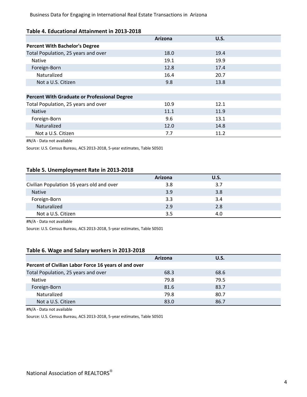#### **Table 4. Educational Attainment in 2013-2018**

|                                                     | Arizona | U.S. |  |
|-----------------------------------------------------|---------|------|--|
| <b>Percent With Bachelor's Degree</b>               |         |      |  |
| Total Population, 25 years and over                 | 18.0    | 19.4 |  |
| <b>Native</b>                                       | 19.1    | 19.9 |  |
| Foreign-Born                                        | 12.8    | 17.4 |  |
| Naturalized                                         | 16.4    | 20.7 |  |
| Not a U.S. Citizen                                  | 9.8     | 13.8 |  |
|                                                     |         |      |  |
| <b>Percent With Graduate or Professional Degree</b> |         |      |  |
| Total Population, 25 years and over                 | 10.9    | 12.1 |  |
| <b>Native</b>                                       | 11.1    | 11.9 |  |
| Foreign-Born                                        | 9.6     | 13.1 |  |
| Naturalized                                         | 12.0    | 14.8 |  |
| Not a U.S. Citizen                                  | 7.7     | 11.2 |  |

#N/A - Data not available

Source: U.S. Census Bureau, ACS 2013-2018, 5-year estimates, Table S0501

#### **Table 5. Unemployment Rate in 2013-2018**

|                                           | Arizona | U.S. |  |
|-------------------------------------------|---------|------|--|
| Civilian Population 16 years old and over | 3.8     | 3.7  |  |
| <b>Native</b>                             | 3.9     | 3.8  |  |
| Foreign-Born                              | 3.3     | 3.4  |  |
| Naturalized                               | 2.9     | 2.8  |  |
| Not a U.S. Citizen                        | 3.5     | 4.0  |  |

#N/A - Data not available

Source: U.S. Census Bureau, ACS 2013-2018, 5-year estimates, Table S0501

#### **Table 6. Wage and Salary workers in 2013-2018**

|                                                      | Arizona | <b>U.S.</b> |  |
|------------------------------------------------------|---------|-------------|--|
| Percent of Civilian Labor Force 16 years ol and over |         |             |  |
| Total Population, 25 years and over                  | 68.3    | 68.6        |  |
| Native                                               | 79.8    | 79.5        |  |
| Foreign-Born                                         | 81.6    | 83.7        |  |
| Naturalized                                          | 79.8    | 80.7        |  |
| Not a U.S. Citizen                                   | 83.0    | 86.7        |  |

#N/A - Data not available

Source: U.S. Census Bureau, ACS 2013-2018, 5-year estimates, Table S0501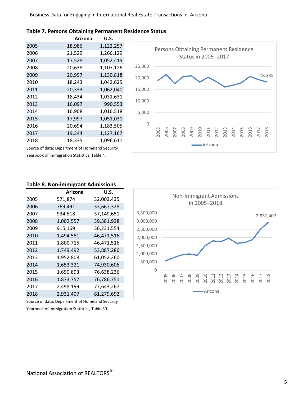|                                                 | Arizona | U.S.      |  |  |
|-------------------------------------------------|---------|-----------|--|--|
| 2005                                            | 18,986  | 1,122,257 |  |  |
| 2006                                            | 21,529  | 1,266,129 |  |  |
| 2007                                            | 17,528  | 1,052,415 |  |  |
| 2008                                            | 20,638  | 1,107,126 |  |  |
| 2009                                            | 20,997  | 1,130,818 |  |  |
| 2010                                            | 18,243  | 1,042,625 |  |  |
| 2011                                            | 20,333  | 1,062,040 |  |  |
| 2012                                            | 18,434  | 1,031,631 |  |  |
| 2013                                            | 16,097  | 990,553   |  |  |
| 2014                                            | 16,908  | 1,016,518 |  |  |
| 2015                                            | 17,997  | 1,051,031 |  |  |
| 2016                                            | 20,694  | 1,183,505 |  |  |
| 2017                                            | 19,344  | 1,127,167 |  |  |
| 2018                                            | 18,335  | 1,096,611 |  |  |
| Source of data: Department of Homeland Security |         |           |  |  |

#### **Table 7. Persons Obtaining Permanent Residence Status**



#### **Table 8. Non-immigrant Admissions**

Yearbook of Immigration Statistics, Table 4.

| Arizona   | U.S.       |
|-----------|------------|
| 571,874   | 32,003,435 |
| 769,491   | 33,667,328 |
| 934,518   | 37,149,651 |
| 1,002,557 | 39,381,928 |
| 915,169   | 36,231,554 |
| 1,494,581 | 46,471,516 |
| 1,800,715 | 46,471,516 |
| 1,749,492 | 53,887,286 |
| 1,952,808 | 61,052,260 |
| 1,653,321 | 74,930,606 |
| 1,690,893 | 76,638,236 |
| 1,873,757 | 76,786,751 |
| 2,498,199 | 77,643,267 |
| 2,931,407 | 81,279,692 |
|           |            |

Source of data: Department of Homeland Security Yearbook of Immigration Statistics, Table 30.

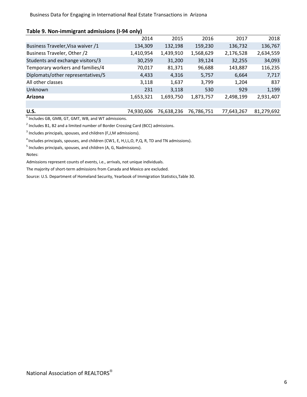#### **Table 9. Non-immigrant admissions (I-94 only)**

|                                   | 2014       | 2015       | 2016       | 2017       | 2018       |
|-----------------------------------|------------|------------|------------|------------|------------|
| Business Traveler, Visa waiver /1 | 134,309    | 132,198    | 159,230    | 136,732    | 136,767    |
| Business Traveler, Other /2       | 1,410,954  | 1,439,910  | 1,568,629  | 2,176,528  | 2,634,559  |
| Students and exchange visitors/3  | 30,259     | 31,200     | 39,124     | 32,255     | 34,093     |
| Temporary workers and families/4  | 70,017     | 81,371     | 96,688     | 143,887    | 116,235    |
| Diplomats/other representatives/5 | 4,433      | 4,316      | 5,757      | 6,664      | 7,717      |
| All other classes                 | 3,118      | 1,637      | 3,799      | 1,204      | 837        |
| Unknown                           | 231        | 3,118      | 530        | 929        | 1,199      |
| Arizona                           | 1,653,321  | 1,693,750  | 1,873,757  | 2,498,199  | 2,931,407  |
|                                   |            |            |            |            |            |
| U.S.                              | 74,930,606 | 76,638,236 | 76,786,751 | 77,643,267 | 81,279,692 |

 $<sup>1</sup>$  Includes GB, GMB, GT, GMT, WB, and WT admissions.</sup>

 $^2$  Includes B1, B2 and a limited number of Border Crossing Card (BCC) admissions.

 $3$  Includes principals, spouses, and children (F,J,M admissions).

<sup>4</sup> Includes principals, spouses, and children (CW1, E, H,I,L,O, P,Q, R, TD and TN admissions).

<sup>5</sup> Includes principals, spouses, and children (A, G, Nadmissions).

Notes:

Admissions represent counts of events, i.e., arrivals, not unique individuals.

The majority of short-term admissions from Canada and Mexico are excluded.

Source: U.S. Department of Homeland Security, Yearbook of Immigration Statistics,Table 30.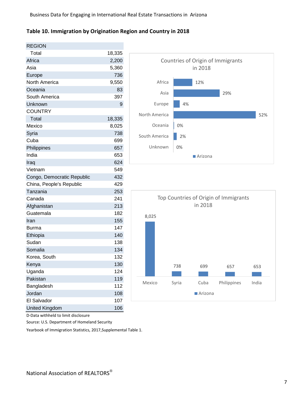#### **Table 10. Immigration by Origination Region and Country in 2018**

| <b>REGION</b>              |        |
|----------------------------|--------|
| Total                      | 18,335 |
| Africa                     | 2,200  |
| Asia                       | 5,360  |
| Europe                     | 736    |
| North America              | 9,550  |
| Oceania                    | 83     |
| South America              | 397    |
| Unknown                    | 9      |
| <b>COUNTRY</b>             |        |
| Total                      | 18,335 |
| Mexico                     | 8,025  |
| Syria                      | 738    |
| Cuba                       | 699    |
| Philippines                | 657    |
| India                      | 653    |
| Iraq                       | 624    |
| Vietnam                    | 549    |
| Congo, Democratic Republic | 432    |
| China, People's Republic   | 429    |
| Tanzania                   | 253    |
| Canada                     | 241    |
| Afghanistan                | 213    |
| Guatemala                  | 182    |
| Iran                       | 155    |
| Burma                      | 147    |
| Ethiopia                   | 140    |
| Sudan                      | 138    |
| Somalia                    | 134    |
| Korea, South               | 132    |
| Kenya                      | 130    |
| Uganda                     | 124    |
| Pakistan                   | 119    |
| Bangladesh                 | 112    |
| Jordan                     | 108    |
| <b>El Salvador</b>         | 107    |
| <b>United Kingdom</b>      | 106    |





D-Data withheld to limit disclosure

Source: U.S. Department of Homeland Security

Yearbook of Immigration Statistics, 2017,Supplemental Table 1.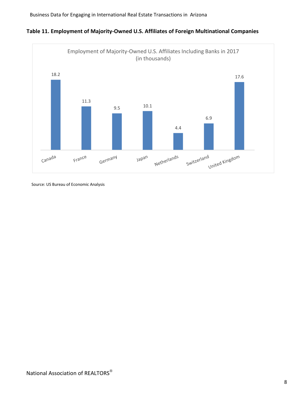



Source: US Bureau of Economic Analysis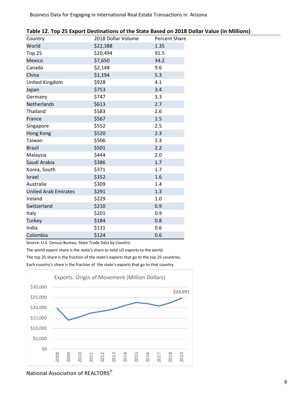| Country                     | 2018 Dollar Volume | <b>Percent Share</b> |
|-----------------------------|--------------------|----------------------|
| World                       | \$22,388           | 1.35                 |
| <b>Top 25</b>               | \$20,494           | 91.5                 |
| Mexico                      | \$7,650            | 34.2                 |
| Canada                      | \$2,148            | 9.6                  |
| China                       | \$1,194            | 5.3                  |
| United Kingdom              | \$928              | 4.1                  |
| Japan                       | \$753              | 3.4                  |
| Germany                     | \$747              | 3.3                  |
| Netherlands                 | \$613              | 2.7                  |
| Thailand                    | \$583              | 2.6                  |
| France                      | \$567              | 2.5                  |
| Singapore                   | \$552              | 2.5                  |
| <b>Hong Kong</b>            | \$520              | 2.3                  |
| Taiwan                      | \$506              | 2.3                  |
| <b>Brazil</b>               | \$501              | 2.2                  |
| Malaysia                    | \$444              | 2.0                  |
| Saudi Arabia                | \$386              | 1.7                  |
| Korea, South                | \$371              | 1.7                  |
| Israel                      | \$352              | 1.6                  |
| Australia                   | \$309              | 1.4                  |
| <b>United Arab Emirates</b> | \$291              | 1.3                  |
| Ireland                     | \$229              | 1.0                  |
| Switzerland                 | \$210              | 0.9                  |
| Italy                       | \$201              | 0.9                  |
| Turkey                      | \$184              | 0.8                  |
| India                       | \$131              | 0.6                  |
| Colombia                    | \$124              | 0.6                  |

Source: U.S. Census Bureau, State Trade Data by Country

The world export share is the state's share to total US exports to the world.

The top 25 share is the fraction of the state's exports that go to the top 25 countries.

Each country's share is the fraction of the state's exports that go to that country.



National Association of REALTORS®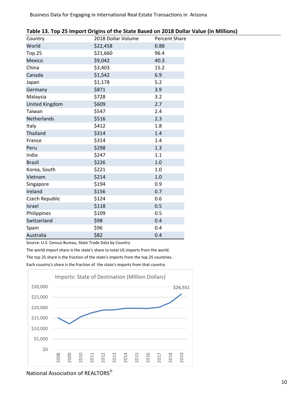| Country               | 2018 Dollar Volume | Percent Share |
|-----------------------|--------------------|---------------|
| World                 | \$22,458           | 0.88          |
| Top 25                | \$21,660           | 96.4          |
| Mexico                | \$9,042            | 40.3          |
| China                 | \$3,403            | 15.2          |
| Canada                | \$1,542            | 6.9           |
| Japan                 | \$1,178            | 5.2           |
| Germany               | \$871              | 3.9           |
| Malaysia              | \$728              | 3.2           |
| <b>United Kingdom</b> | \$609              | 2.7           |
| Taiwan                | \$547              | 2.4           |
| Netherlands           | \$516              | 2.3           |
| Italy                 | \$412              | 1.8           |
| Thailand              | \$314              | 1.4           |
| France                | \$314              | 1.4           |
| Peru                  | \$298              | 1.3           |
| India                 | \$247              | 1.1           |
| <b>Brazil</b>         | \$226              | 1.0           |
| Korea, South          | \$221              | 1.0           |
| Vietnam               | \$214              | 1.0           |
| Singapore             | \$194              | 0.9           |
| Ireland               | \$156              | 0.7           |
| Czech Republic        | \$124              | 0.6           |
| Israel                | \$118              | 0.5           |
| Philippines           | \$109              | 0.5           |
| Switzerland           | \$98               | 0.4           |
| Spain                 | \$96               | 0.4           |
| Australia             | \$82               | 0.4           |

|  |  | Table 13. Top 25 Import Origins of the State Based on 2018 Dollar Value (in Millions) |
|--|--|---------------------------------------------------------------------------------------|
|--|--|---------------------------------------------------------------------------------------|

Source: U.S. Census Bureau, State Trade Data by Country

The world import share is the state's share to total US imports from the world. The top 25 share is the fraction of the state's imports from the top 25 countries. Each country's share is the fraction of the state's imports from that country.



### National Association of REALTORS®